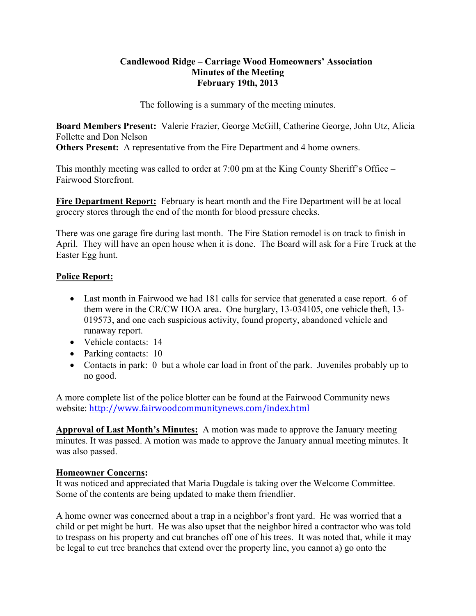### **Candlewood Ridge – Carriage Wood Homeowners' Association Minutes of the Meeting February 19th, 2013**

The following is a summary of the meeting minutes.

**Board Members Present:** Valerie Frazier, George McGill, Catherine George, John Utz, Alicia Follette and Don Nelson

**Others Present:** A representative from the Fire Department and 4 home owners.

This monthly meeting was called to order at 7:00 pm at the King County Sheriff's Office – Fairwood Storefront.

**Fire Department Report:** February is heart month and the Fire Department will be at local grocery stores through the end of the month for blood pressure checks.

There was one garage fire during last month. The Fire Station remodel is on track to finish in April. They will have an open house when it is done. The Board will ask for a Fire Truck at the Easter Egg hunt.

# **Police Report:**

- Last month in Fairwood we had 181 calls for service that generated a case report. 6 of them were in the CR/CW HOA area. One burglary, 13-034105, one vehicle theft, 13- 019573, and one each suspicious activity, found property, abandoned vehicle and runaway report.
- Vehicle contacts: 14
- Parking contacts: 10
- Contacts in park: 0 but a whole car load in front of the park. Juveniles probably up to no good.

A more complete list of the police blotter can be found at the Fairwood Community news website: http://www.fairwoodcommunitynews.com/index.html

**Approval of Last Month's Minutes:** A motion was made to approve the January meeting minutes. It was passed. A motion was made to approve the January annual meeting minutes. It was also passed.

# **Homeowner Concerns:**

It was noticed and appreciated that Maria Dugdale is taking over the Welcome Committee. Some of the contents are being updated to make them friendlier.

A home owner was concerned about a trap in a neighbor's front yard. He was worried that a child or pet might be hurt. He was also upset that the neighbor hired a contractor who was told to trespass on his property and cut branches off one of his trees. It was noted that, while it may be legal to cut tree branches that extend over the property line, you cannot a) go onto the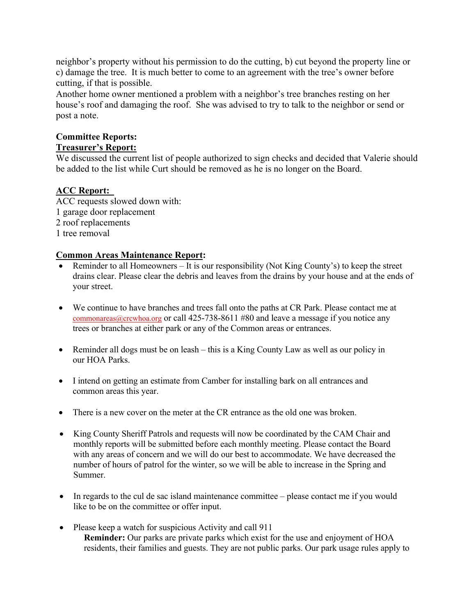neighbor's property without his permission to do the cutting, b) cut beyond the property line or c) damage the tree. It is much better to come to an agreement with the tree's owner before cutting, if that is possible.

Another home owner mentioned a problem with a neighbor's tree branches resting on her house's roof and damaging the roof. She was advised to try to talk to the neighbor or send or post a note.

#### **Committee Reports: Treasurer's Report:**

We discussed the current list of people authorized to sign checks and decided that Valerie should be added to the list while Curt should be removed as he is no longer on the Board.

# **ACC Report:**

ACC requests slowed down with: 1 garage door replacement 2 roof replacements 1 tree removal

# **Common Areas Maintenance Report:**

- Reminder to all Homeowners It is our responsibility (Not King County's) to keep the street drains clear. Please clear the debris and leaves from the drains by your house and at the ends of your street.
- We continue to have branches and trees fall onto the paths at CR Park. Please contact me at commonareas@crcwhoa.org or call 425-738-8611 #80 and leave a message if you notice any trees or branches at either park or any of the Common areas or entrances.
- Reminder all dogs must be on leash this is a King County Law as well as our policy in our HOA Parks.
- I intend on getting an estimate from Camber for installing bark on all entrances and common areas this year.
- There is a new cover on the meter at the CR entrance as the old one was broken.
- King County Sheriff Patrols and requests will now be coordinated by the CAM Chair and monthly reports will be submitted before each monthly meeting. Please contact the Board with any areas of concern and we will do our best to accommodate. We have decreased the number of hours of patrol for the winter, so we will be able to increase in the Spring and Summer.
- In regards to the cul de sac island maintenance committee please contact me if you would like to be on the committee or offer input.
- Please keep a watch for suspicious Activity and call 911 **Reminder:** Our parks are private parks which exist for the use and enjoyment of HOA residents, their families and guests. They are not public parks. Our park usage rules apply to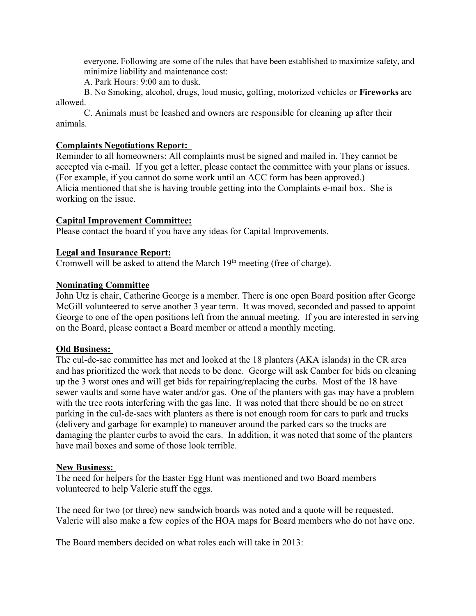everyone. Following are some of the rules that have been established to maximize safety, and minimize liability and maintenance cost:

A. Park Hours: 9:00 am to dusk.

B. No Smoking, alcohol, drugs, loud music, golfing, motorized vehicles or **Fireworks** are allowed.

C. Animals must be leashed and owners are responsible for cleaning up after their animals.

# **Complaints Negotiations Report:**

Reminder to all homeowners: All complaints must be signed and mailed in. They cannot be accepted via e-mail. If you get a letter, please contact the committee with your plans or issues. (For example, if you cannot do some work until an ACC form has been approved.) Alicia mentioned that she is having trouble getting into the Complaints e-mail box. She is working on the issue.

### **Capital Improvement Committee:**

Please contact the board if you have any ideas for Capital Improvements.

### **Legal and Insurance Report:**

Cromwell will be asked to attend the March 19<sup>th</sup> meeting (free of charge).

### **Nominating Committee**

John Utz is chair, Catherine George is a member. There is one open Board position after George McGill volunteered to serve another 3 year term. It was moved, seconded and passed to appoint George to one of the open positions left from the annual meeting. If you are interested in serving on the Board, please contact a Board member or attend a monthly meeting.

#### **Old Business:**

The cul-de-sac committee has met and looked at the 18 planters (AKA islands) in the CR area and has prioritized the work that needs to be done. George will ask Camber for bids on cleaning up the 3 worst ones and will get bids for repairing/replacing the curbs. Most of the 18 have sewer vaults and some have water and/or gas. One of the planters with gas may have a problem with the tree roots interfering with the gas line. It was noted that there should be no on street parking in the cul-de-sacs with planters as there is not enough room for cars to park and trucks (delivery and garbage for example) to maneuver around the parked cars so the trucks are damaging the planter curbs to avoid the cars. In addition, it was noted that some of the planters have mail boxes and some of those look terrible.

#### **New Business:**

The need for helpers for the Easter Egg Hunt was mentioned and two Board members volunteered to help Valerie stuff the eggs.

The need for two (or three) new sandwich boards was noted and a quote will be requested. Valerie will also make a few copies of the HOA maps for Board members who do not have one.

The Board members decided on what roles each will take in 2013: